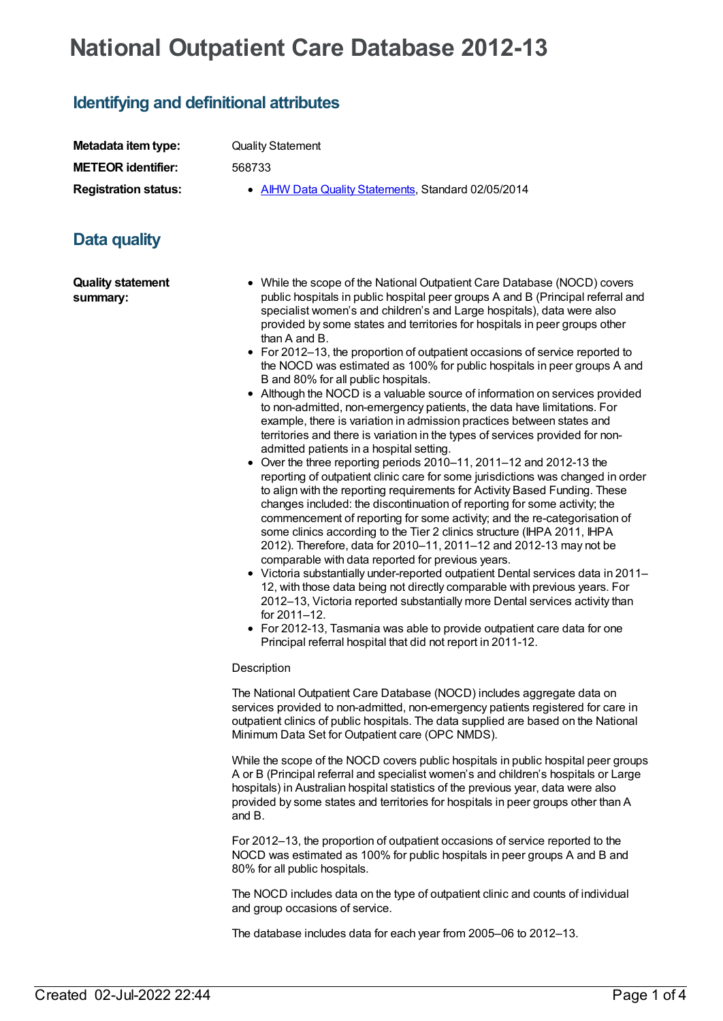## **National Outpatient Care Database 2012-13**

## **Identifying and definitional attributes**

| Metadata item type:                  | <b>Quality Statement</b>                                                                                                                                                                                                                                                                                                                                                                                                                                                                                                                                                                                                                                                                                                                                                                                                                                                                                                                                                                                                                                                                                                                                                                                                                                                                                                                                                                                                                                                                                                                                                                                                                                                                                                                                                                                                                                                                                                     |  |
|--------------------------------------|------------------------------------------------------------------------------------------------------------------------------------------------------------------------------------------------------------------------------------------------------------------------------------------------------------------------------------------------------------------------------------------------------------------------------------------------------------------------------------------------------------------------------------------------------------------------------------------------------------------------------------------------------------------------------------------------------------------------------------------------------------------------------------------------------------------------------------------------------------------------------------------------------------------------------------------------------------------------------------------------------------------------------------------------------------------------------------------------------------------------------------------------------------------------------------------------------------------------------------------------------------------------------------------------------------------------------------------------------------------------------------------------------------------------------------------------------------------------------------------------------------------------------------------------------------------------------------------------------------------------------------------------------------------------------------------------------------------------------------------------------------------------------------------------------------------------------------------------------------------------------------------------------------------------------|--|
| <b>METEOR identifier:</b>            | 568733                                                                                                                                                                                                                                                                                                                                                                                                                                                                                                                                                                                                                                                                                                                                                                                                                                                                                                                                                                                                                                                                                                                                                                                                                                                                                                                                                                                                                                                                                                                                                                                                                                                                                                                                                                                                                                                                                                                       |  |
| <b>Registration status:</b>          | • AIHW Data Quality Statements, Standard 02/05/2014                                                                                                                                                                                                                                                                                                                                                                                                                                                                                                                                                                                                                                                                                                                                                                                                                                                                                                                                                                                                                                                                                                                                                                                                                                                                                                                                                                                                                                                                                                                                                                                                                                                                                                                                                                                                                                                                          |  |
| Data quality                         |                                                                                                                                                                                                                                                                                                                                                                                                                                                                                                                                                                                                                                                                                                                                                                                                                                                                                                                                                                                                                                                                                                                                                                                                                                                                                                                                                                                                                                                                                                                                                                                                                                                                                                                                                                                                                                                                                                                              |  |
| <b>Quality statement</b><br>summary: | • While the scope of the National Outpatient Care Database (NOCD) covers<br>public hospitals in public hospital peer groups A and B (Principal referral and<br>specialist women's and children's and Large hospitals), data were also<br>provided by some states and territories for hospitals in peer groups other<br>than A and B.<br>• For 2012-13, the proportion of outpatient occasions of service reported to<br>the NOCD was estimated as 100% for public hospitals in peer groups A and<br>B and 80% for all public hospitals.<br>• Although the NOCD is a valuable source of information on services provided<br>to non-admitted, non-emergency patients, the data have limitations. For<br>example, there is variation in admission practices between states and<br>territories and there is variation in the types of services provided for non-<br>admitted patients in a hospital setting.<br>• Over the three reporting periods 2010-11, 2011-12 and 2012-13 the<br>reporting of outpatient clinic care for some jurisdictions was changed in order<br>to align with the reporting requirements for Activity Based Funding. These<br>changes included: the discontinuation of reporting for some activity; the<br>commencement of reporting for some activity; and the re-categorisation of<br>some clinics according to the Tier 2 clinics structure (IHPA 2011, IHPA<br>2012). Therefore, data for 2010-11, 2011-12 and 2012-13 may not be<br>comparable with data reported for previous years.<br>• Victoria substantially under-reported outpatient Dental services data in 2011-<br>12, with those data being not directly comparable with previous years. For<br>2012-13, Victoria reported substantially more Dental services activity than<br>for 2011-12.<br>• For 2012-13, Tasmania was able to provide outpatient care data for one<br>Principal referral hospital that did not report in 2011-12. |  |
|                                      | Description                                                                                                                                                                                                                                                                                                                                                                                                                                                                                                                                                                                                                                                                                                                                                                                                                                                                                                                                                                                                                                                                                                                                                                                                                                                                                                                                                                                                                                                                                                                                                                                                                                                                                                                                                                                                                                                                                                                  |  |
|                                      | The National Outpatient Care Database (NOCD) includes aggregate data on<br>services provided to non-admitted, non-emergency patients registered for care in<br>outpatient clinics of public hospitals. The data supplied are based on the National<br>Minimum Data Set for Outpatient care (OPC NMDS).                                                                                                                                                                                                                                                                                                                                                                                                                                                                                                                                                                                                                                                                                                                                                                                                                                                                                                                                                                                                                                                                                                                                                                                                                                                                                                                                                                                                                                                                                                                                                                                                                       |  |
|                                      | While the scope of the NOCD covers public hospitals in public hospital peer groups<br>A or B (Principal referral and specialist women's and children's hospitals or Large<br>hospitals) in Australian hospital statistics of the previous year, data were also<br>provided by some states and territories for hospitals in peer groups other than A<br>and B.                                                                                                                                                                                                                                                                                                                                                                                                                                                                                                                                                                                                                                                                                                                                                                                                                                                                                                                                                                                                                                                                                                                                                                                                                                                                                                                                                                                                                                                                                                                                                                |  |
|                                      |                                                                                                                                                                                                                                                                                                                                                                                                                                                                                                                                                                                                                                                                                                                                                                                                                                                                                                                                                                                                                                                                                                                                                                                                                                                                                                                                                                                                                                                                                                                                                                                                                                                                                                                                                                                                                                                                                                                              |  |

For 2012–13, the proportion of outpatient occasions of service reported to the NOCD was estimated as 100% for public hospitals in peer groups A and B and 80% for all public hospitals.

The NOCD includes data on the type of outpatient clinic and counts of individual and group occasions of service.

The database includes data for each year from 2005–06 to 2012–13.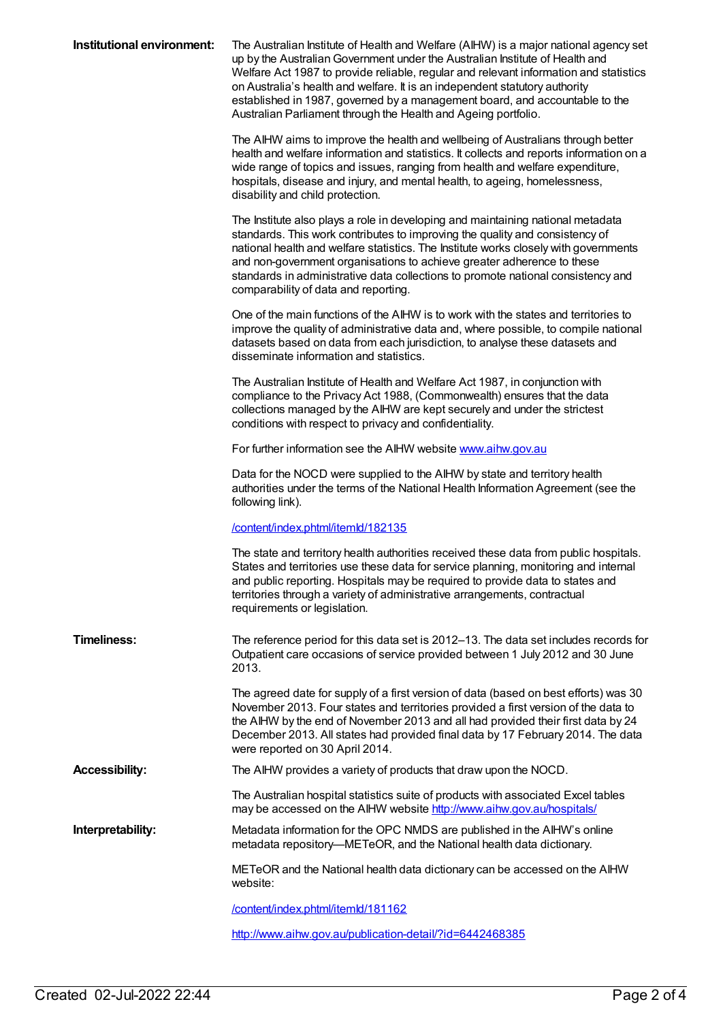| Institutional environment: | The Australian Institute of Health and Welfare (AIHW) is a major national agency set<br>up by the Australian Government under the Australian Institute of Health and<br>Welfare Act 1987 to provide reliable, regular and relevant information and statistics<br>on Australia's health and welfare. It is an independent statutory authority<br>established in 1987, governed by a management board, and accountable to the<br>Australian Parliament through the Health and Ageing portfolio. |
|----------------------------|-----------------------------------------------------------------------------------------------------------------------------------------------------------------------------------------------------------------------------------------------------------------------------------------------------------------------------------------------------------------------------------------------------------------------------------------------------------------------------------------------|
|                            | The AIHW aims to improve the health and wellbeing of Australians through better<br>health and welfare information and statistics. It collects and reports information on a<br>wide range of topics and issues, ranging from health and welfare expenditure,<br>hospitals, disease and injury, and mental health, to ageing, homelessness,<br>disability and child protection.                                                                                                                 |
|                            | The Institute also plays a role in developing and maintaining national metadata<br>standards. This work contributes to improving the quality and consistency of<br>national health and welfare statistics. The Institute works closely with governments<br>and non-government organisations to achieve greater adherence to these<br>standards in administrative data collections to promote national consistency and<br>comparability of data and reporting.                                 |
|                            | One of the main functions of the AIHW is to work with the states and territories to<br>improve the quality of administrative data and, where possible, to compile national<br>datasets based on data from each jurisdiction, to analyse these datasets and<br>disseminate information and statistics.                                                                                                                                                                                         |
|                            | The Australian Institute of Health and Welfare Act 1987, in conjunction with<br>compliance to the Privacy Act 1988, (Commonwealth) ensures that the data<br>collections managed by the AIHW are kept securely and under the strictest<br>conditions with respect to privacy and confidentiality.                                                                                                                                                                                              |
|                            | For further information see the AIHW website www.aihw.gov.au                                                                                                                                                                                                                                                                                                                                                                                                                                  |
|                            | Data for the NOCD were supplied to the AIHW by state and territory health<br>authorities under the terms of the National Health Information Agreement (see the<br>following link).                                                                                                                                                                                                                                                                                                            |
|                            | /content/index.phtml/itemld/182135                                                                                                                                                                                                                                                                                                                                                                                                                                                            |
|                            | The state and territory health authorities received these data from public hospitals.<br>States and territories use these data for service planning, monitoring and internal<br>and public reporting. Hospitals may be required to provide data to states and<br>territories through a variety of administrative arrangements, contractual<br>requirements or legislation.                                                                                                                    |
| <b>Timeliness:</b>         | The reference period for this data set is 2012-13. The data set includes records for<br>Outpatient care occasions of service provided between 1 July 2012 and 30 June<br>2013.                                                                                                                                                                                                                                                                                                                |
|                            | The agreed date for supply of a first version of data (based on best efforts) was 30<br>November 2013. Four states and territories provided a first version of the data to<br>the AIHW by the end of November 2013 and all had provided their first data by 24<br>December 2013. All states had provided final data by 17 February 2014. The data<br>were reported on 30 April 2014.                                                                                                          |
| <b>Accessibility:</b>      | The AIHW provides a variety of products that draw upon the NOCD.                                                                                                                                                                                                                                                                                                                                                                                                                              |
|                            | The Australian hospital statistics suite of products with associated Excel tables<br>may be accessed on the AIHW website http://www.aihw.gov.au/hospitals/                                                                                                                                                                                                                                                                                                                                    |
| Interpretability:          | Metadata information for the OPC NMDS are published in the AIHW's online<br>metadata repository—METeOR, and the National health data dictionary.                                                                                                                                                                                                                                                                                                                                              |
|                            | METeOR and the National health data dictionary can be accessed on the AIHW<br>website:                                                                                                                                                                                                                                                                                                                                                                                                        |
|                            | /content/index.phtml/itemld/181162                                                                                                                                                                                                                                                                                                                                                                                                                                                            |
|                            | http://www.aihw.gov.au/publication-detail/?id=6442468385                                                                                                                                                                                                                                                                                                                                                                                                                                      |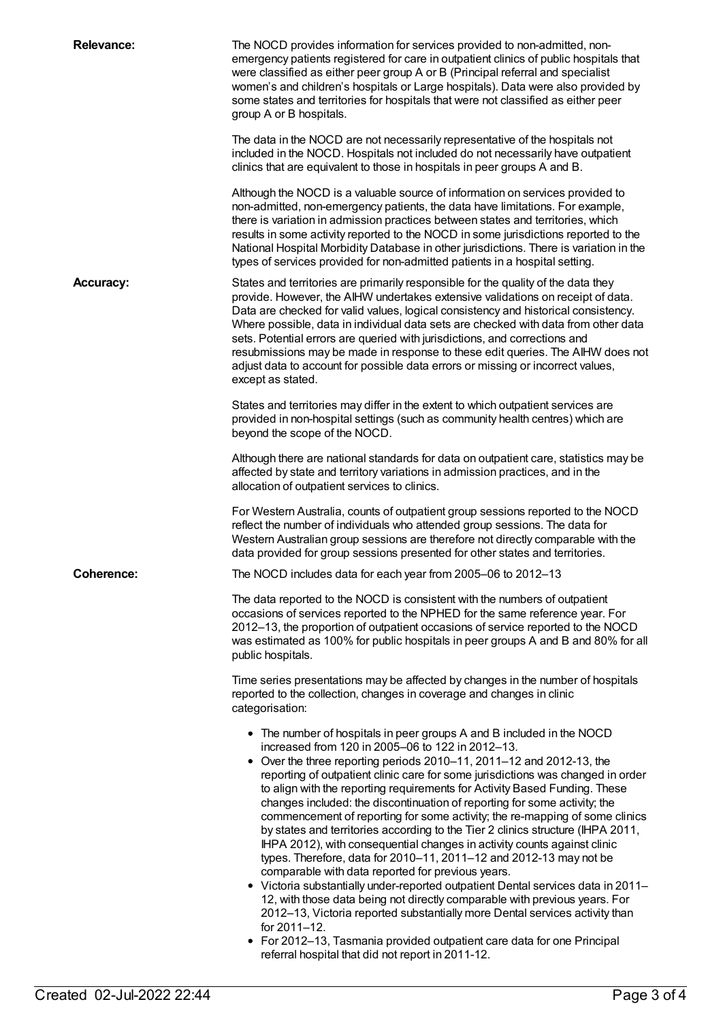| <b>Relevance:</b> | The NOCD provides information for services provided to non-admitted, non-<br>emergency patients registered for care in outpatient clinics of public hospitals that<br>were classified as either peer group A or B (Principal referral and specialist<br>women's and children's hospitals or Large hospitals). Data were also provided by<br>some states and territories for hospitals that were not classified as either peer<br>group A or B hospitals.                                                                                                                                                                                                                                                                                                                                                                                                                                                                                                                                                                                                                                                                                                                                                                  |
|-------------------|---------------------------------------------------------------------------------------------------------------------------------------------------------------------------------------------------------------------------------------------------------------------------------------------------------------------------------------------------------------------------------------------------------------------------------------------------------------------------------------------------------------------------------------------------------------------------------------------------------------------------------------------------------------------------------------------------------------------------------------------------------------------------------------------------------------------------------------------------------------------------------------------------------------------------------------------------------------------------------------------------------------------------------------------------------------------------------------------------------------------------------------------------------------------------------------------------------------------------|
|                   | The data in the NOCD are not necessarily representative of the hospitals not<br>included in the NOCD. Hospitals not included do not necessarily have outpatient<br>clinics that are equivalent to those in hospitals in peer groups A and B.                                                                                                                                                                                                                                                                                                                                                                                                                                                                                                                                                                                                                                                                                                                                                                                                                                                                                                                                                                              |
|                   | Although the NOCD is a valuable source of information on services provided to<br>non-admitted, non-emergency patients, the data have limitations. For example,<br>there is variation in admission practices between states and territories, which<br>results in some activity reported to the NOCD in some jurisdictions reported to the<br>National Hospital Morbidity Database in other jurisdictions. There is variation in the<br>types of services provided for non-admitted patients in a hospital setting.                                                                                                                                                                                                                                                                                                                                                                                                                                                                                                                                                                                                                                                                                                         |
| <b>Accuracy:</b>  | States and territories are primarily responsible for the quality of the data they<br>provide. However, the AIHW undertakes extensive validations on receipt of data.<br>Data are checked for valid values, logical consistency and historical consistency.<br>Where possible, data in individual data sets are checked with data from other data<br>sets. Potential errors are queried with jurisdictions, and corrections and<br>resubmissions may be made in response to these edit queries. The AIHW does not<br>adjust data to account for possible data errors or missing or incorrect values,<br>except as stated.                                                                                                                                                                                                                                                                                                                                                                                                                                                                                                                                                                                                  |
|                   | States and territories may differ in the extent to which outpatient services are<br>provided in non-hospital settings (such as community health centres) which are<br>beyond the scope of the NOCD.                                                                                                                                                                                                                                                                                                                                                                                                                                                                                                                                                                                                                                                                                                                                                                                                                                                                                                                                                                                                                       |
|                   | Although there are national standards for data on outpatient care, statistics may be<br>affected by state and territory variations in admission practices, and in the<br>allocation of outpatient services to clinics.                                                                                                                                                                                                                                                                                                                                                                                                                                                                                                                                                                                                                                                                                                                                                                                                                                                                                                                                                                                                    |
|                   | For Western Australia, counts of outpatient group sessions reported to the NOCD<br>reflect the number of individuals who attended group sessions. The data for<br>Western Australian group sessions are therefore not directly comparable with the<br>data provided for group sessions presented for other states and territories.                                                                                                                                                                                                                                                                                                                                                                                                                                                                                                                                                                                                                                                                                                                                                                                                                                                                                        |
| <b>Coherence:</b> | The NOCD includes data for each year from 2005-06 to 2012-13                                                                                                                                                                                                                                                                                                                                                                                                                                                                                                                                                                                                                                                                                                                                                                                                                                                                                                                                                                                                                                                                                                                                                              |
|                   | The data reported to the NOCD is consistent with the numbers of outpatient<br>occasions of services reported to the NPHED for the same reference year. For<br>2012–13, the proportion of outpatient occasions of service reported to the NOCD<br>was estimated as 100% for public hospitals in peer groups A and B and 80% for all<br>public hospitals.                                                                                                                                                                                                                                                                                                                                                                                                                                                                                                                                                                                                                                                                                                                                                                                                                                                                   |
|                   | Time series presentations may be affected by changes in the number of hospitals<br>reported to the collection, changes in coverage and changes in clinic<br>categorisation:                                                                                                                                                                                                                                                                                                                                                                                                                                                                                                                                                                                                                                                                                                                                                                                                                                                                                                                                                                                                                                               |
|                   | • The number of hospitals in peer groups A and B included in the NOCD<br>increased from 120 in 2005-06 to 122 in 2012-13.<br>• Over the three reporting periods 2010-11, 2011-12 and 2012-13, the<br>reporting of outpatient clinic care for some jurisdictions was changed in order<br>to align with the reporting requirements for Activity Based Funding. These<br>changes included: the discontinuation of reporting for some activity; the<br>commencement of reporting for some activity; the re-mapping of some clinics<br>by states and territories according to the Tier 2 clinics structure (IHPA 2011,<br>IHPA 2012), with consequential changes in activity counts against clinic<br>types. Therefore, data for 2010-11, 2011-12 and 2012-13 may not be<br>comparable with data reported for previous years.<br>• Victoria substantially under-reported outpatient Dental services data in 2011-<br>12, with those data being not directly comparable with previous years. For<br>2012-13, Victoria reported substantially more Dental services activity than<br>for 2011-12.<br>• For 2012-13, Tasmania provided outpatient care data for one Principal<br>referral hospital that did not report in 2011-12. |